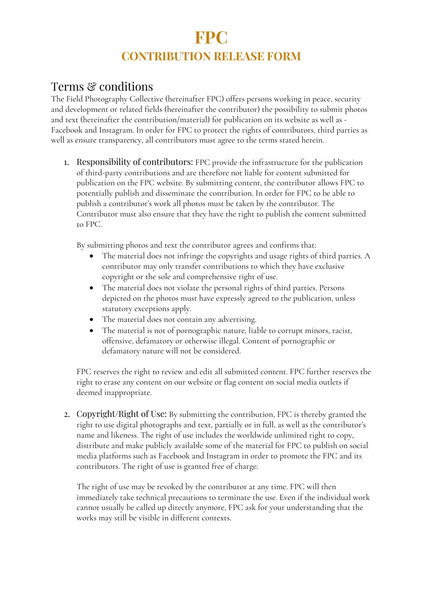## **FPC CONTRIBUTION RELEASE FORM**

## Terms & conditions

The Field Photography Collective (hereinafter FPC) offers persons working in peace, security and development or related fields (hereinafter the contributor) the possibility to submit photos and text (hereinafter the contribution/material) for publication on its website as well as - Facebook and Instagram. In order for FPC to protect the rights of contributors, third parties as well as ensure transparency, all contributors must agree to the terms stated herein.

1. Responsibility of contributors: FPC provide the infrastructure for the publication of third-party contributions and are therefore not liable for content submitted for publication on the FPC website. By submitting content, the contributor allows FPC to potentially publish and disseminate the contribution. In order for FPC to be able to publish a contributor's work all photos must be taken by the contributor. The Contributor must also ensure that they have the right to publish the content submitted to FPC.

By submitting photos and text the contributor agrees and confirms that:

- The material does not infringe the copyrights and usage rights of third parties. A contributor may only transfer contributions to which they have exclusive copyright or the sole and comprehensive right of use.
- The material does not violate the personal rights of third parties. Persons depicted on the photos must have expressly agreed to the publication, unless statutory exceptions apply.
- The material does not contain any advertising.
- The material is not of pornographic nature, liable to corrupt minors, racist, offensive, defamatory or otherwise illegal. Content of pornographic or defamatory nature will not be considered.

FPC reserves the right to review and edit all submitted content. FPC further reserves the right to erase any content on our website or flag content on social media outlets if deemed inappropriate.

2. Copyright/Right of Use: By submitting the contribution, FPC is thereby granted the right to use digital photographs and text, partially or in full, as well as the contributor's name and likeness. The right of use includes the worldwide unlimited right to copy, distribute and make publicly available some of the material for FPC to publish on social media platforms such as Facebook and Instagram in order to promote the FPC and its contributors. The right of use is granted free of charge.

The right of use may be revoked by the contributor at any time. FPC will then immediately take technical precautions to terminate the use. Even if the individual work cannot usually be called up directly anymore, FPC ask for your understanding that the works may still be visible in different contexts.